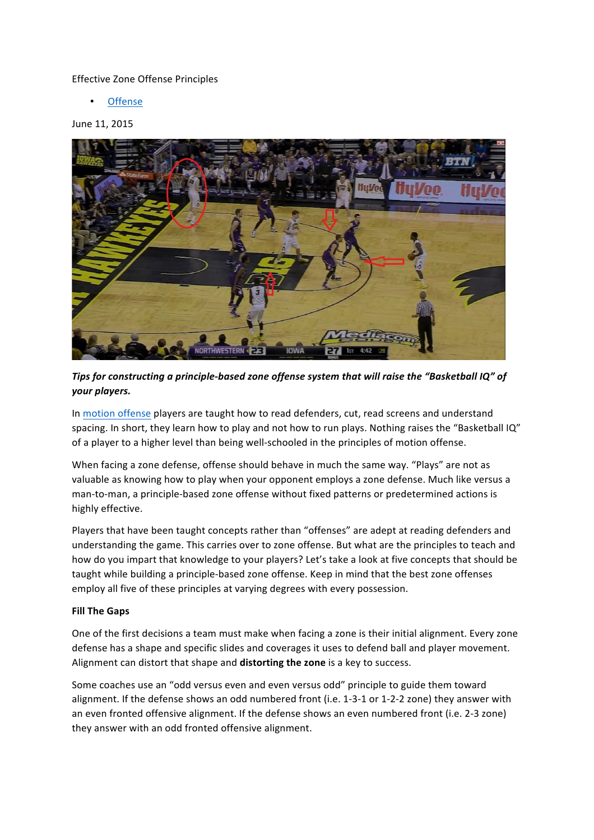#### Effective Zone Offense Principles

**Offense** 

#### June 11, 2015



*Tips* for constructing a principle-based zone offense system that will raise the "Basketball IQ" of *your players.*

In motion offense players are taught how to read defenders, cut, read screens and understand spacing. In short, they learn how to play and not how to run plays. Nothing raises the "Basketball IQ" of a player to a higher level than being well-schooled in the principles of motion offense.

When facing a zone defense, offense should behave in much the same way. "Plays" are not as valuable as knowing how to play when your opponent employs a zone defense. Much like versus a man-to-man, a principle-based zone offense without fixed patterns or predetermined actions is highly effective.

Players that have been taught concepts rather than "offenses" are adept at reading defenders and understanding the game. This carries over to zone offense. But what are the principles to teach and how do you impart that knowledge to your players? Let's take a look at five concepts that should be taught while building a principle-based zone offense. Keep in mind that the best zone offenses employ all five of these principles at varying degrees with every possession.

#### **Fill The Gaps**

One of the first decisions a team must make when facing a zone is their initial alignment. Every zone defense has a shape and specific slides and coverages it uses to defend ball and player movement. Alignment can distort that shape and **distorting the zone** is a key to success.

Some coaches use an "odd versus even and even versus odd" principle to guide them toward alignment. If the defense shows an odd numbered front (i.e. 1-3-1 or 1-2-2 zone) they answer with an even fronted offensive alignment. If the defense shows an even numbered front (i.e. 2-3 zone) they answer with an odd fronted offensive alignment.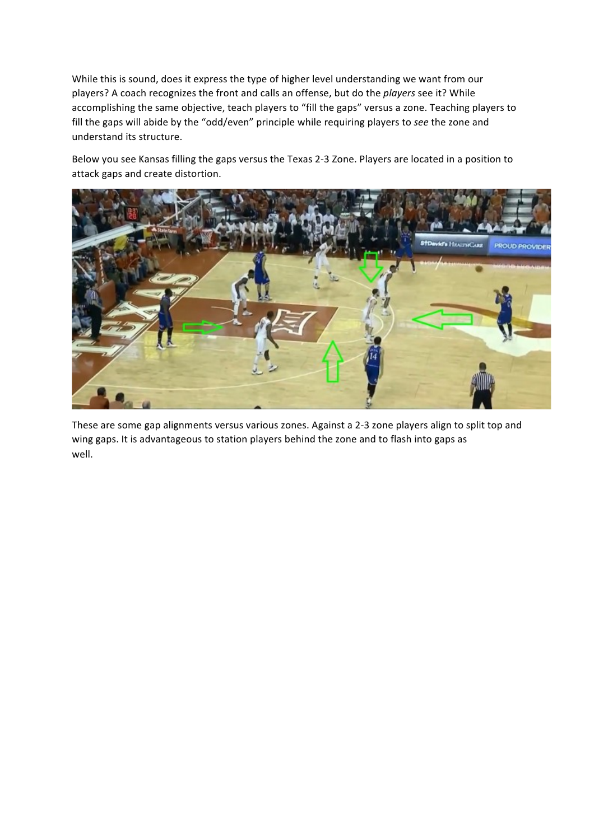While this is sound, does it express the type of higher level understanding we want from our players? A coach recognizes the front and calls an offense, but do the *players* see it? While accomplishing the same objective, teach players to "fill the gaps" versus a zone. Teaching players to fill the gaps will abide by the "odd/even" principle while requiring players to see the zone and understand its structure.

Below you see Kansas filling the gaps versus the Texas 2-3 Zone. Players are located in a position to attack gaps and create distortion.



These are some gap alignments versus various zones. Against a 2-3 zone players align to split top and wing gaps. It is advantageous to station players behind the zone and to flash into gaps as well.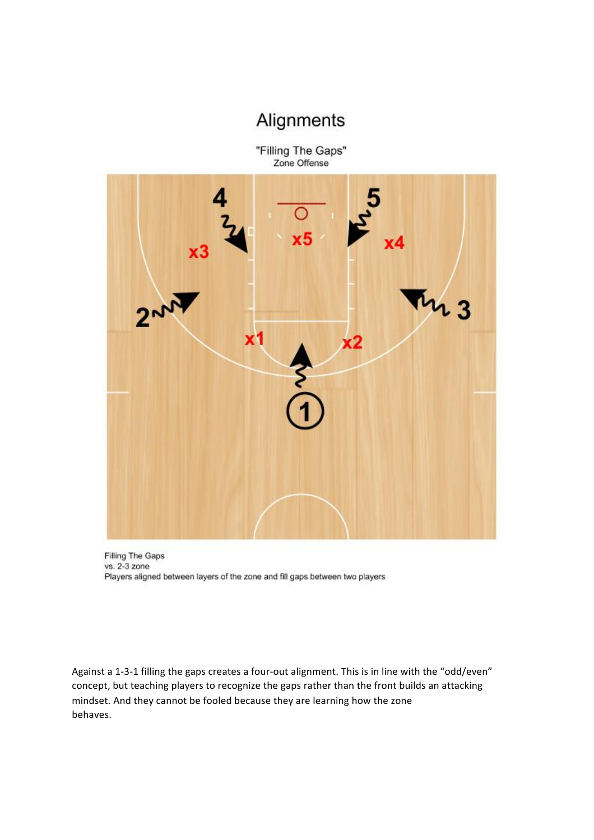## Alignments

"Filling The Gaps" Zone Offense



Filling The Gaps vs. 2-3 zone Players aligned between layers of the zone and fill gaps between two players

Against a 1-3-1 filling the gaps creates a four-out alignment. This is in line with the "odd/even" concept, but teaching players to recognize the gaps rather than the front builds an attacking mindset. And they cannot be fooled because they are learning how the zone behaves.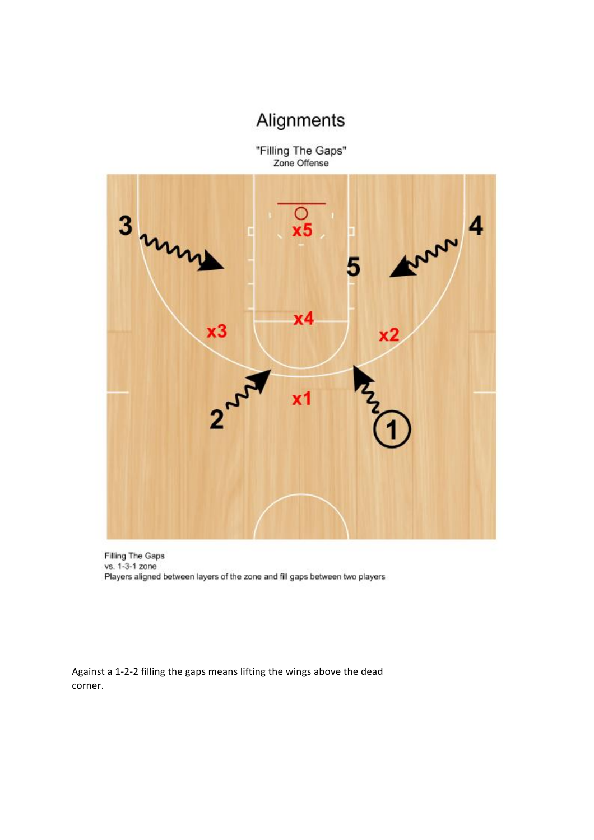# Alignments

"Filling The Gaps"<br>Zone Offense



Filling The Gaps vs. 1-3-1 zone Players aligned between layers of the zone and fill gaps between two players

Against a 1-2-2 filling the gaps means lifting the wings above the dead corner.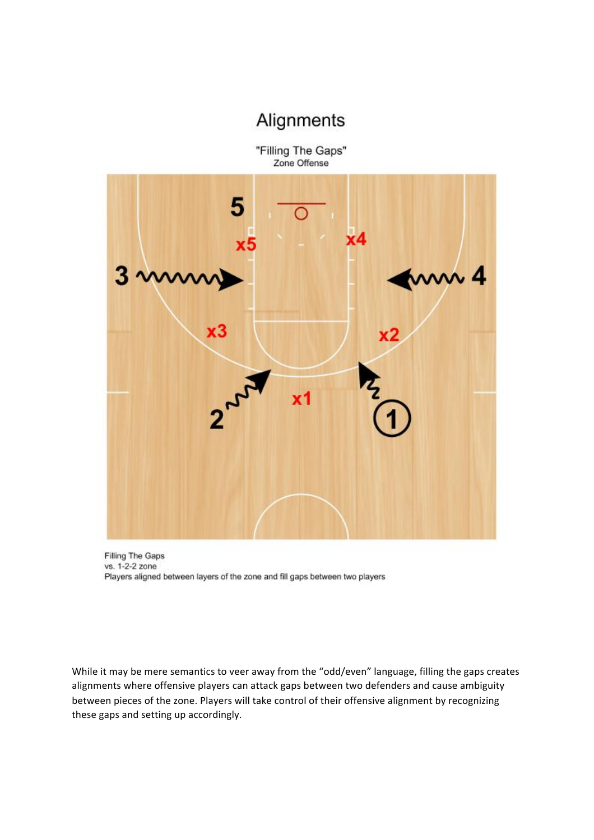### Alignments

"Filling The Gaps" Zone Offense



Filling The Gaps vs. 1-2-2 zone Players aligned between layers of the zone and fill gaps between two players

While it may be mere semantics to veer away from the "odd/even" language, filling the gaps creates alignments where offensive players can attack gaps between two defenders and cause ambiguity between pieces of the zone. Players will take control of their offensive alignment by recognizing these gaps and setting up accordingly.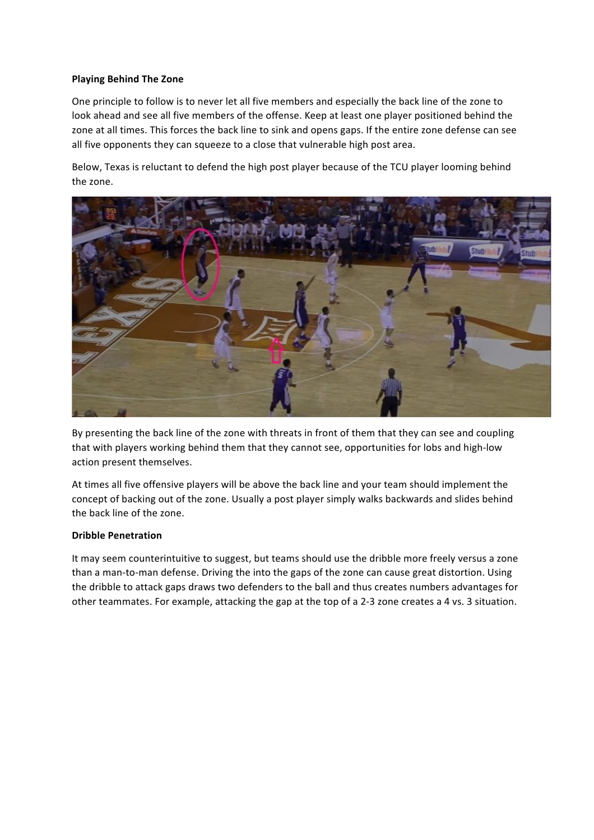#### **Playing Behind The Zone**

One principle to follow is to never let all five members and especially the back line of the zone to look ahead and see all five members of the offense. Keep at least one player positioned behind the zone at all times. This forces the back line to sink and opens gaps. If the entire zone defense can see all five opponents they can squeeze to a close that vulnerable high post area.

Below, Texas is reluctant to defend the high post player because of the TCU player looming behind the zone.



By presenting the back line of the zone with threats in front of them that they can see and coupling that with players working behind them that they cannot see, opportunities for lobs and high-low action present themselves.

At times all five offensive players will be above the back line and your team should implement the concept of backing out of the zone. Usually a post player simply walks backwards and slides behind the back line of the zone.

#### **Dribble Penetration**

It may seem counterintuitive to suggest, but teams should use the dribble more freely versus a zone than a man-to-man defense. Driving the into the gaps of the zone can cause great distortion. Using the dribble to attack gaps draws two defenders to the ball and thus creates numbers advantages for other teammates. For example, attacking the gap at the top of a 2-3 zone creates a 4 vs. 3 situation.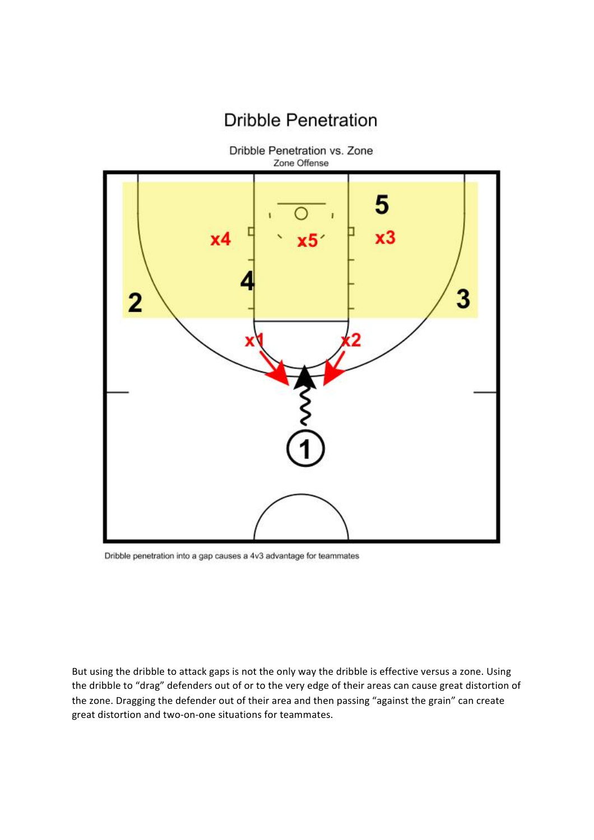

**Dribble Penetration** 

Dribble penetration into a gap causes a 4v3 advantage for teammates

But using the dribble to attack gaps is not the only way the dribble is effective versus a zone. Using the dribble to "drag" defenders out of or to the very edge of their areas can cause great distortion of the zone. Dragging the defender out of their area and then passing "against the grain" can create great distortion and two-on-one situations for teammates.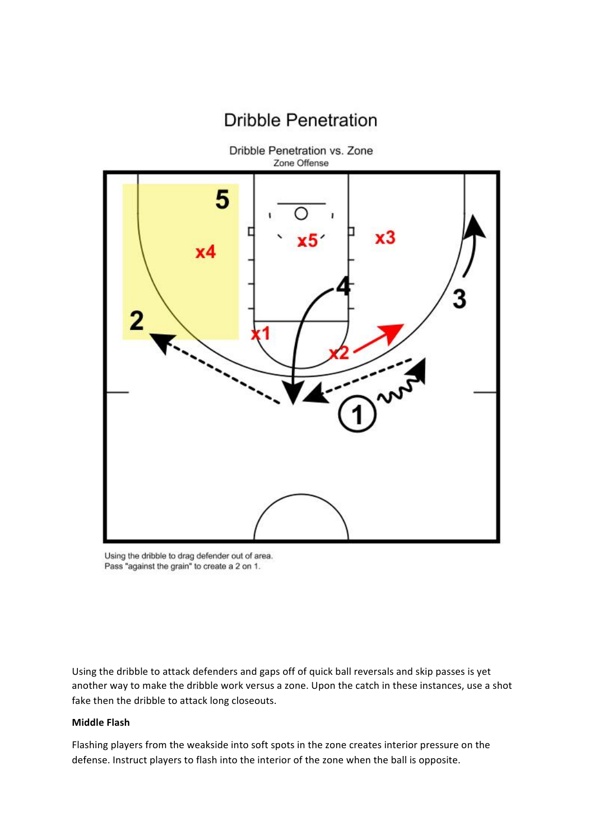

**Dribble Penetration** 

Using the dribble to drag defender out of area. Pass "against the grain" to create a 2 on 1.

Using the dribble to attack defenders and gaps off of quick ball reversals and skip passes is yet another way to make the dribble work versus a zone. Upon the catch in these instances, use a shot fake then the dribble to attack long closeouts.

#### **Middle Flash**

Flashing players from the weakside into soft spots in the zone creates interior pressure on the defense. Instruct players to flash into the interior of the zone when the ball is opposite.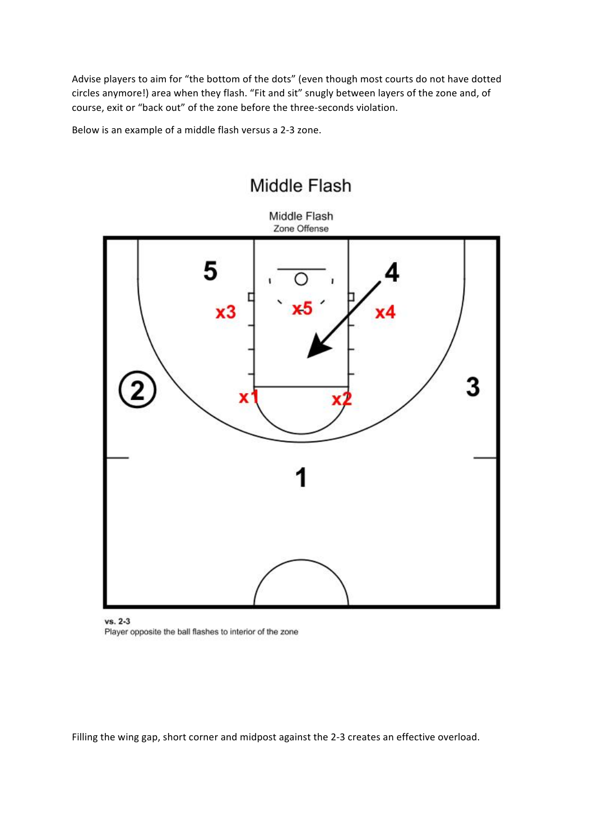Advise players to aim for "the bottom of the dots" (even though most courts do not have dotted circles anymore!) area when they flash. "Fit and sit" snugly between layers of the zone and, of course, exit or "back out" of the zone before the three-seconds violation.

Below is an example of a middle flash versus a 2-3 zone.



### Middle Flash

vs. 2-3 Player opposite the ball flashes to interior of the zone

Filling the wing gap, short corner and midpost against the 2-3 creates an effective overload.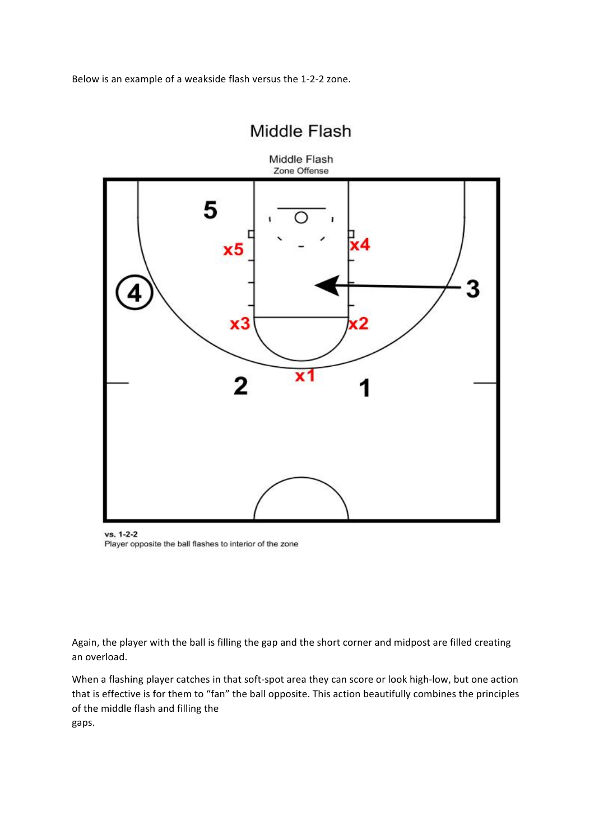Below is an example of a weakside flash versus the 1-2-2 zone.

### Middle Flash



vs. 1-2-2 Player opposite the ball flashes to interior of the zone

Again, the player with the ball is filling the gap and the short corner and midpost are filled creating an overload.

When a flashing player catches in that soft-spot area they can score or look high-low, but one action that is effective is for them to "fan" the ball opposite. This action beautifully combines the principles of the middle flash and filling the gaps.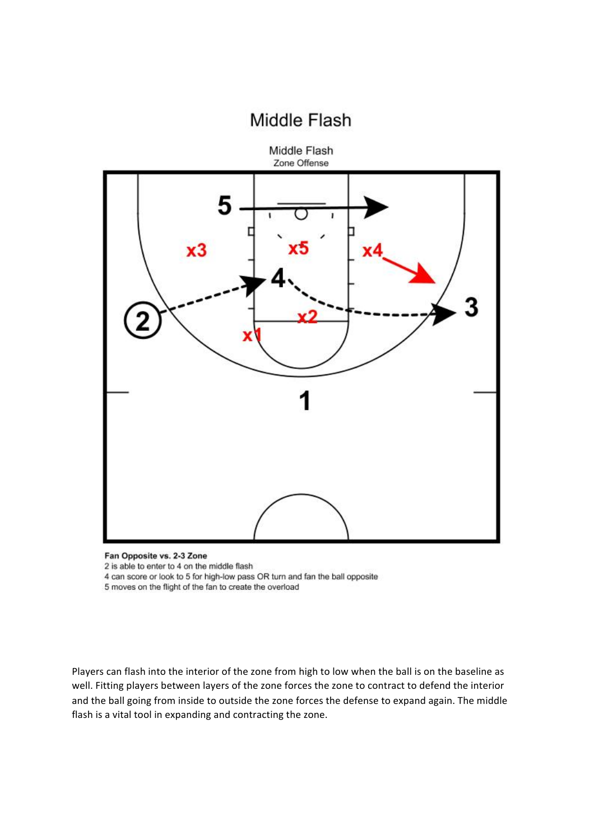### Middle Flash



Fan Opposite vs. 2-3 Zone

2 is able to enter to 4 on the middle flash

4 can score or look to 5 for high-low pass OR turn and fan the ball opposite

5 moves on the flight of the fan to create the overload

Players can flash into the interior of the zone from high to low when the ball is on the baseline as well. Fitting players between layers of the zone forces the zone to contract to defend the interior and the ball going from inside to outside the zone forces the defense to expand again. The middle flash is a vital tool in expanding and contracting the zone.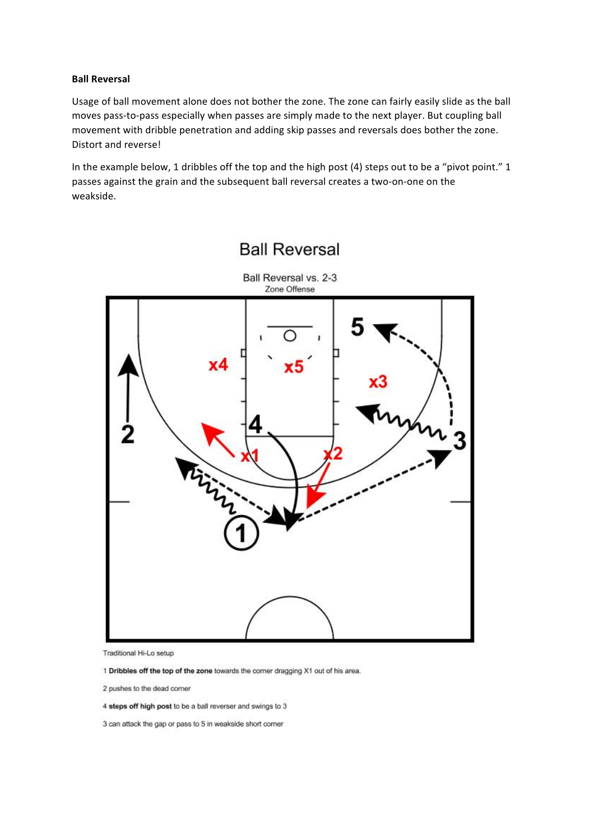#### **Ball Reversal**

Usage of ball movement alone does not bother the zone. The zone can fairly easily slide as the ball moves pass-to-pass especially when passes are simply made to the next player. But coupling ball movement with dribble penetration and adding skip passes and reversals does bother the zone. Distort and reverse!

In the example below, 1 dribbles off the top and the high post (4) steps out to be a "pivot point." 1 passes against the grain and the subsequent ball reversal creates a two-on-one on the weakside.



### **Ball Reversal**

Traditional Hi-Lo setup

- 1 Dribbles off the top of the zone towards the corner dragging X1 out of his area.
- 2 pushes to the dead corner
- 4 steps off high post to be a ball reverser and swings to 3

3 can attack the gap or pass to 5 in weakside short corner